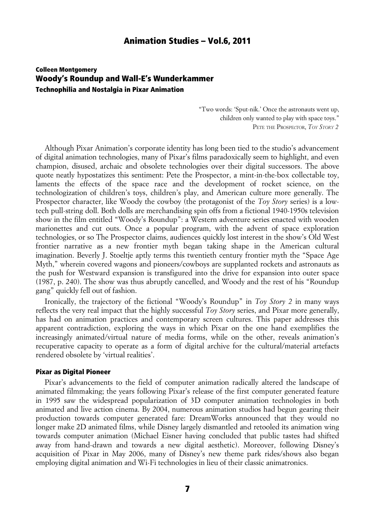## Colleen Montgomery Woody's Roundup and Wall-E's Wunderkammer Technophilia and Nostalgia in Pixar Animation

"Two words: 'Sput-nik.' Once the astronauts went up, children only wanted to play with space toys." PETE THE PROSPECTOR, *TOY STORY 2*

Although Pixar Animation's corporate identity has long been tied to the studio's advancement of digital animation technologies, many of Pixar's films paradoxically seem to highlight, and even champion, disused, archaic and obsolete technologies over their digital successors. The above quote neatly hypostatizes this sentiment: Pete the Prospector, a mint-in-the-box collectable toy, laments the effects of the space race and the development of rocket science, on the technologization of children's toys, children's play, and American culture more generally. The Prospector character, like Woody the cowboy (the protagonist of the *Toy Story* series) is a lowtech pull-string doll. Both dolls are merchandising spin offs from a fictional 1940-1950s television show in the film entitled "Woody's Roundup": a Western adventure series enacted with wooden marionettes and cut outs. Once a popular program, with the advent of space exploration technologies, or so The Prospector claims, audiences quickly lost interest in the show's Old West frontier narrative as a new frontier myth began taking shape in the American cultural imagination. Beverly J. Stoeltje aptly terms this twentieth century frontier myth the "Space Age Myth," wherein covered wagons and pioneers/cowboys are supplanted rockets and astronauts as the push for Westward expansion is transfigured into the drive for expansion into outer space (1987, p. 240). The show was thus abruptly cancelled, and Woody and the rest of his "Roundup gang" quickly fell out of fashion.

Ironically, the trajectory of the fictional "Woody's Roundup" in *Toy Story 2* in many ways reflects the very real impact that the highly successful *Toy Story* series, and Pixar more generally, has had on animation practices and contemporary screen cultures. This paper addresses this apparent contradiction, exploring the ways in which Pixar on the one hand exemplifies the increasingly animated/virtual nature of media forms, while on the other, reveals animation's recuperative capacity to operate as a form of digital archive for the cultural/material artefacts rendered obsolete by 'virtual realities'.

#### Pixar as Digital Pioneer

Pixar's advancements to the field of computer animation radically altered the landscape of animated filmmaking; the years following Pixar's release of the first computer generated feature in 1995 saw the widespread popularization of 3D computer animation technologies in both animated and live action cinema. By 2004, numerous animation studios had begun gearing their production towards computer generated fare: DreamWorks announced that they would no longer make 2D animated films, while Disney largely dismantled and retooled its animation wing towards computer animation (Michael Eisner having concluded that public tastes had shifted away from hand-drawn and towards a new digital aesthetic). Moreover, following Disney's acquisition of Pixar in May 2006, many of Disney's new theme park rides/shows also began employing digital animation and Wi-Fi technologies in lieu of their classic animatronics.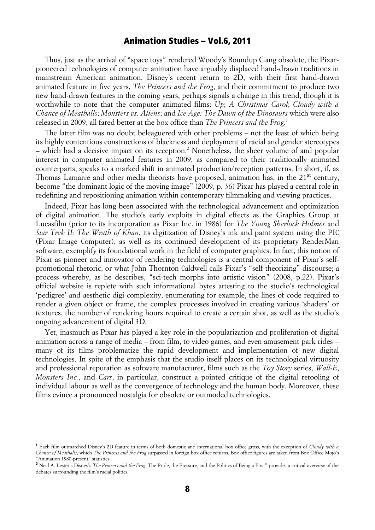Thus, just as the arrival of "space toys" rendered Woody's Roundup Gang obsolete, the Pixarpioneered technologies of computer animation have arguably displaced hand-drawn traditions in mainstream American animation. Disney's recent return to 2D, with their first hand-drawn animated feature in five years, *The Princess and the Frog*, and their commitment to produce two new hand-drawn features in the coming years, perhaps signals a change in this trend, though it is worthwhile to note that the computer animated films: *Up*; *A Christmas Carol*; *Cloudy with a Chance of Meatballs*; *Monsters vs. Aliens*; and *Ice Age: The Dawn of the Dinosaurs* which were also released in 2009, all fared better at the box office than *The Princess and the Frog*. 1

The latter film was no doubt beleaguered with other problems – not the least of which being its highly contentious constructions of blackness and deployment of racial and gender stereotypes – which had a decisive impact on its reception.<sup>2</sup> Nonetheless, the sheer volume of and popular interest in computer animated features in 2009, as compared to their traditionally animated counterparts, speaks to a marked shift in animated production/reception patterns. In short, if, as Thomas Lamarre and other media theorists have proposed, animation has, in the 21<sup>st</sup> century, become "the dominant logic of the moving image" (2009, p. 36) Pixar has played a central role in redefining and repositioning animation within contemporary filmmaking and viewing practices.

Indeed, Pixar has long been associated with the technological advancement and optimization of digital animation. The studio's early exploits in digital effects as the Graphics Group at Lucasfilm (prior to its incorporation as Pixar Inc. in 1986) for *The Young Sherlock Holmes* and *Star Trek II: The Wrath of Khan*, its digitization of Disney's ink and paint system using the PIC (Pixar Image Computer), as well as its continued development of its proprietary RenderMan software, exemplify its foundational work in the field of computer graphics. In fact, this notion of Pixar as pioneer and innovator of rendering technologies is a central component of Pixar's selfpromotional rhetoric, or what John Thornton Caldwell calls Pixar's "self-theorizing" discourse; a process whereby, as he describes, "sci-tech morphs into artistic vision" (2008, p.22). Pixar's official website is replete with such informational bytes attesting to the studio's technological 'pedigree' and aesthetic digi-complexity, enumerating for example, the lines of code required to render a given object or frame, the complex processes involved in creating various 'shaders' or textures, the number of rendering hours required to create a certain shot, as well as the studio's ongoing advancement of digital 3D.

Yet, inasmuch as Pixar has played a key role in the popularization and proliferation of digital animation across a range of media – from film, to video games, and even amusement park rides – many of its films problematize the rapid development and implementation of new digital technologies. In spite of the emphasis that the studio itself places on its technological virtuosity and professional reputation as software manufacturer, films such as the *Toy Story* series, *Wall-E*, *Monsters Inc.*, and *Cars*, in particular, construct a pointed critique of the digital retooling of individual labour as well as the convergence of technology and the human body. Moreover, these films evince a pronounced nostalgia for obsolete or outmoded technologies.

<sup>1</sup> Each film outmatched Disney's 2D feature in terms of both domestic and international box office gross, with the exception of *Cloudy with a Chance of Meatballs*, which *The Princess and the Frog* surpassed in foreign box office returns. Box office figures are taken from Box Office Mojo's "Animation 1980-present" statistics.

<sup>&</sup>lt;sup>2</sup> Neal A. Lester's Disney's *The Princess and the Frog*: The Pride, the Pressure, and the Politics of Being a First" provides a critical overview of the debates surrounding the film's racial politics.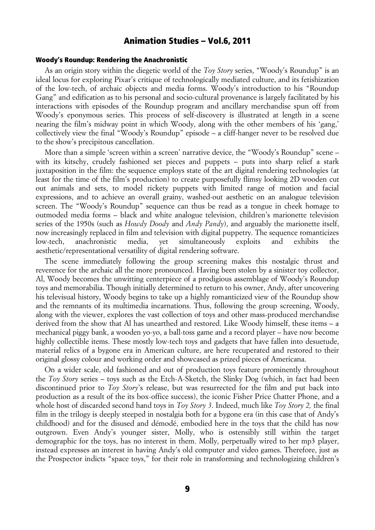### Woody's Roundup: Rendering the Anachronistic

As an origin story within the diegetic world of the *Toy Story* series, "Woody's Roundup" is an ideal locus for exploring Pixar's critique of technologically mediated culture, and its fetishization of the low-tech, of archaic objects and media forms. Woody's introduction to his "Roundup Gang" and edification as to his personal and socio-cultural provenance is largely facilitated by his interactions with episodes of the Roundup program and ancillary merchandise spun off from Woody's eponymous series. This process of self-discovery is illustrated at length in a scene nearing the film's midway point in which Woody, along with the other members of his 'gang,' collectively view the final "Woody's Roundup" episode – a cliff-hanger never to be resolved due to the show's precipitous cancellation.

More than a simple 'screen within a screen' narrative device, the "Woody's Roundup" scene – with its kitschy, crudely fashioned set pieces and puppets – puts into sharp relief a stark juxtaposition in the film: the sequence employs state of the art digital rendering technologies (at least for the time of the film's production) to create purposefully flimsy looking 2D wooden cut out animals and sets, to model rickety puppets with limited range of motion and facial expressions, and to achieve an overall grainy, washed-out aesthetic on an analogue television screen. The "Woody's Roundup" sequence can thus be read as a tongue in cheek homage to outmoded media forms – black and white analogue television, children's marionette television series of the 1950s (such as *Howdy Doody* and *Andy Pandy*), and arguably the marionette itself, now increasingly replaced in film and television with digital puppetry. The sequence romanticizes low-tech, anachronistic media, yet simultaneously exploits and exhibits the aesthetic/representational versatility of digital rendering software.

The scene immediately following the group screening makes this nostalgic thrust and reverence for the archaic all the more pronounced. Having been stolen by a sinister toy collector, Al, Woody becomes the unwitting centerpiece of a prodigious assemblage of Woody's Roundup toys and memorabilia. Though initially determined to return to his owner, Andy, after uncovering his televisual history, Woody begins to take up a highly romanticized view of the Roundup show and the remnants of its multimedia incarnations. Thus, following the group screening, Woody, along with the viewer, explores the vast collection of toys and other mass-produced merchandise derived from the show that Al has unearthed and restored. Like Woody himself, these items – a mechanical piggy bank, a wooden yo-yo, a ball-toss game and a record player – have now become highly collectible items. These mostly low-tech toys and gadgets that have fallen into desuetude, material relics of a bygone era in American culture, are here recuperated and restored to their original glossy colour and working order and showcased as prized pieces of Americana.

On a wider scale, old fashioned and out of production toys feature prominently throughout the *Toy Story* series – toys such as the Etch-A-Sketch, the Slinky Dog (which, in fact had been discontinued prior to *Toy Story*'s release, but was resurrected for the film and put back into production as a result of the its box-office success), the iconic Fisher Price Chatter Phone, and a whole host of discarded second hand toys in *Toy Story 3*. Indeed, much like *Toy Story 2,* the final film in the trilogy is deeply steeped in nostalgia both for a bygone era (in this case that of Andy's childhood) and for the disused and démodé, embodied here in the toys that the child has now outgrown. Even Andy's younger sister, Molly, who is ostensibly still within the target demographic for the toys, has no interest in them. Molly, perpetually wired to her mp3 player, instead expresses an interest in having Andy's old computer and video games. Therefore, just as the Prospector indicts "space toys," for their role in transforming and technologizing children's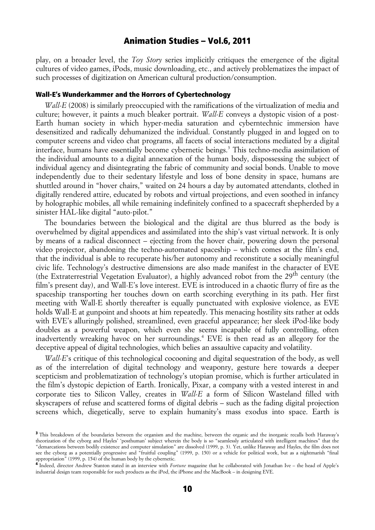play, on a broader level, the *Toy Story* series implicitly critiques the emergence of the digital cultures of video games, iPods, music downloading, etc., and actively problematizes the impact of such processes of digitization on American cultural production/consumption.

### Wall-E's Wunderkammer and the Horrors of Cybertechnology

*Wall-E* (2008) is similarly preoccupied with the ramifications of the virtualization of media and culture; however, it paints a much bleaker portrait. *Wall-E* conveys a dystopic vision of a post-Earth human society in which hyper-media saturation and cyberntechnic immersion have desensitized and radically dehumanized the individual. Constantly plugged in and logged on to computer screens and video chat programs, all facets of social interactions mediated by a digital interface, humans have essentially become cybernetic beings.<sup>3</sup> This techno-media assimilation of the individual amounts to a digital annexation of the human body, dispossessing the subject of individual agency and disintegrating the fabric of community and social bonds. Unable to move independently due to their sedentary lifestyle and loss of bone density in space, humans are shuttled around in "hover chairs," waited on 24 hours a day by automated attendants, clothed in digitally rendered attire, educated by robots and virtual projections, and even soothed in infancy by holographic mobiles, all while remaining indefinitely confined to a spacecraft shepherded by a sinister HAL-like digital "auto-pilot."

The boundaries between the biological and the digital are thus blurred as the body is overwhelmed by digital appendices and assimilated into the ship's vast virtual network. It is only by means of a radical disconnect – ejecting from the hover chair, powering down the personal video projector, abandoning the techno-automated spaceship – which comes at the film's end, that the individual is able to recuperate his/her autonomy and reconstitute a socially meaningful civic life. Technology's destructive dimensions are also made manifest in the character of EVE (the Extraterrestrial Vegetation Evaluator), a highly advanced robot from the 29<sup>th</sup> century (the film's present day), and Wall-E's love interest. EVE is introduced in a chaotic flurry of fire as the spaceship transporting her touches down on earth scorching everything in its path. Her first meeting with Wall-E shortly thereafter is equally punctuated with explosive violence, as EVE holds Wall-E at gunpoint and shoots at him repeatedly. This menacing hostility sits rather at odds with EVE's alluringly polished, streamlined, even graceful appearance; her sleek iPod-like body doubles as a powerful weapon, which even she seems incapable of fully controlling, often inadvertently wreaking havoc on her surroundings.4 EVE is then read as an allegory for the deceptive appeal of digital technologies, which belies an assaultive capacity and volatility.

*Wall-E*'s critique of this technological cocooning and digital sequestration of the body, as well as of the interrelation of digital technology and weaponry, gesture here towards a deeper scepticism and problematization of technology's utopian promise, which is further articulated in the film's dystopic depiction of Earth. Ironically, Pixar, a company with a vested interest in and corporate ties to Silicon Valley, creates in *Wall-E* a form of Silicon Wasteland filled with skyscrapers of refuse and scattered forms of digital debris – such as the fading digital projection screens which, diegetically, serve to explain humanity's mass exodus into space. Earth is

<sup>&</sup>lt;sup>3</sup> This breakdown of the boundaries between the organism and the machine, between the organic and the inorganic recalls both Haraway's theorization of the cyborg and Hayles' 'posthuman' subject wherein the body is so "seamlessly articulated with intelligent machines" that the "demarcations between bodily existence and computer simulation" are dissolved (1999, p. 3). Yet, unlike Haraway and Hayles, the film does not see the cyborg as a potentially progressive and "fruitful coupling" (1999, p. 150) or a vehicle for political work, but as a nightmarish "final appropriation" (1999, p. 154) of the human body by the cybernetic.

<sup>&</sup>lt;sup>4</sup> Indeed, director Andrew Stanton stated in an interview with *Fortune* magazine that he collaborated with Jonathan Ive – the head of Apple's industrial design team responsible for such products as the iPod, the iPhone and the MacBook – in designing EVE.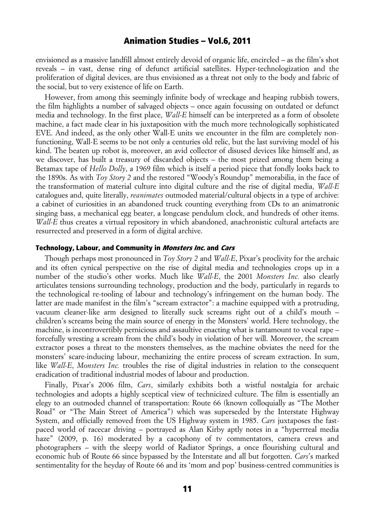envisioned as a massive landfill almost entirely devoid of organic life, encircled – as the film's shot reveals – in vast, dense ring of defunct artificial satellites. Hyper-technologization and the proliferation of digital devices, are thus envisioned as a threat not only to the body and fabric of the social, but to very existence of life on Earth.

However, from among this seemingly infinite body of wreckage and heaping rubbish towers, the film highlights a number of salvaged objects – once again focussing on outdated or defunct media and technology. In the first place, *Wall-E* himself can be interpreted as a form of obsolete machine, a fact made clear in his juxtaposition with the much more technologically sophisticated EVE. And indeed, as the only other Wall-E units we encounter in the film are completely nonfunctioning, Wall-E seems to be not only a centuries old relic, but the last surviving model of his kind. The beaten up robot is, moreover, an avid collector of disused devices like himself and, as we discover, has built a treasury of discarded objects – the most prized among them being a Betamax tape of *Hello Dolly*, a 1969 film which is itself a period piece that fondly looks back to the 1890s. As with *Toy Story 2* and the restored "Woody's Roundup" memorabilia, in the face of the transformation of material culture into digital culture and the rise of digital media, *Wall-E*  catalogues and, quite literally, *reanimates* outmoded material/cultural objects in a type of archive: a cabinet of curiosities in an abandoned truck counting everything from CDs to an animatronic singing bass, a mechanical egg beater, a longcase pendulum clock, and hundreds of other items. *Wall-E* thus creates a virtual repository in which abandoned, anachronistic cultural artefacts are resurrected and preserved in a form of digital archive.

### Technology, Labour, and Community in *Monsters Inc.* and *Cars*

Though perhaps most pronounced in *Toy Story 2* and *Wall-E*, Pixar's proclivity for the archaic and its often cynical perspective on the rise of digital media and technologies crops up in a number of the studio's other works. Much like *Wall-E*, the 2001 *Monsters Inc.* also clearly articulates tensions surrounding technology, production and the body, particularly in regards to the technological re-tooling of labour and technology's infringement on the human body. The latter are made manifest in the film's "scream extractor": a machine equipped with a protruding, vacuum cleaner-like arm designed to literally suck screams right out of a child's mouth – children's screams being the main source of energy in the Monsters' world. Here technology, the machine, is incontrovertibly pernicious and assaultive enacting what is tantamount to vocal rape – forcefully wresting a scream from the child's body in violation of her will. Moreover, the scream extractor poses a threat to the monsters themselves, as the machine obviates the need for the monsters' scare-inducing labour, mechanizing the entire process of scream extraction. In sum, like *Wall-E*, *Monsters Inc.* troubles the rise of digital industries in relation to the consequent eradication of traditional industrial modes of labour and production.

Finally, Pixar's 2006 film, *Cars*, similarly exhibits both a wistful nostalgia for archaic technologies and adopts a highly sceptical view of technicized culture. The film is essentially an elegy to an outmoded channel of transportation: Route 66 (known colloquially as "The Mother Road" or "The Main Street of America") which was superseded by the Interstate Highway System, and officially removed from the US Highway system in 1985. *Cars* juxtaposes the fastpaced world of racecar driving – portrayed as Alan Kirby aptly notes in a "hyperrreal media haze" (2009, p. 16) moderated by a cacophony of ty commentators, camera crews and photographers – with the sleepy world of Radiator Springs, a once flourishing cultural and economic hub of Route 66 since bypassed by the Interstate and all but forgotten. *Cars*'s marked sentimentality for the heyday of Route 66 and its 'mom and pop' business-centred communities is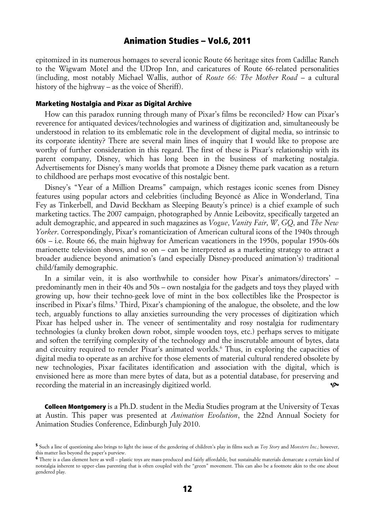epitomized in its numerous homages to several iconic Route 66 heritage sites from Cadillac Ranch to the Wigwam Motel and the UDrop Inn, and caricatures of Route 66-related personalities (including, most notably Michael Wallis, author of *Route 66: The Mother Road* – a cultural history of the highway – as the voice of Sheriff).

#### Marketing Nostalgia and Pixar as Digital Archive

How can this paradox running through many of Pixar's films be reconciled? How can Pixar's reverence for antiquated devices/technologies and wariness of digitization and, simultaneously be understood in relation to its emblematic role in the development of digital media, so intrinsic to its corporate identity? There are several main lines of inquiry that I would like to propose are worthy of further consideration in this regard. The first of these is Pixar's relationship with its parent company, Disney, which has long been in the business of marketing nostalgia. Advertisements for Disney's many worlds that promote a Disney theme park vacation as a return to childhood are perhaps most evocative of this nostalgic bent.

Disney's "Year of a Million Dreams" campaign, which restages iconic scenes from Disney features using popular actors and celebrities (including Beyoncé as Alice in Wonderland, Tina Fey as Tinkerbell, and David Beckham as Sleeping Beauty's prince) is a chief example of such marketing tactics. The 2007 campaign, photographed by Annie Leibovitz, specifically targeted an adult demographic, and appeared in such magazines as *Vogue*, *Vanity Fair*, *W*, *GQ*, and *The New Yorker*. Correspondingly, Pixar's romanticization of American cultural icons of the 1940s through 60s – i.e. Route 66, the main highway for American vacationers in the 1950s, popular 1950s-60s marionette television shows, and so on – can be interpreted as a marketing strategy to attract a broader audience beyond animation's (and especially Disney-produced animation's) traditional child/family demographic.

In a similar vein, it is also worthwhile to consider how Pixar's animators/directors' – predominantly men in their 40s and 50s – own nostalgia for the gadgets and toys they played with growing up, how their techno-geek love of mint in the box collectibles like the Prospector is inscribed in Pixar's films.<sup>5</sup> Third, Pixar's championing of the analogue, the obsolete, and the low tech, arguably functions to allay anxieties surrounding the very processes of digitization which Pixar has helped usher in. The veneer of sentimentality and rosy nostalgia for rudimentary technologies (a clunky broken down robot, simple wooden toys, etc.) perhaps serves to mitigate and soften the terrifying complexity of the technology and the inscrutable amount of bytes, data and circuitry required to render Pixar's animated worlds.<sup>6</sup> Thus, in exploring the capacities of digital media to operate as an archive for those elements of material cultural rendered obsolete by new technologies, Pixar facilitates identification and association with the digital, which is envisioned here as more than mere bytes of data, but as a potential database, for preserving and recording the material in an increasingly digitized world.  $\bullet$ 

**Colleen Montgomery** is a Ph.D. student in the Media Studies program at the University of Texas at Austin. This paper was presented at *Animation Evolution*, the 22nd Annual Society for Animation Studies Conference, Edinburgh July 2010.

<sup>5</sup> Such a line of questioning also brings to light the issue of the gendering of children's play in films such as *Toy Story* and *Monsters Inc.;* however, this matter lies beyond the paper's purview.

<sup>6</sup> There is a class element here as well – plastic toys are mass-produced and fairly affordable, but sustainable materials demarcate a certain kind of notstalgia inherent to upper-class parenting that is often coupled with the "green" movement. This can also be a footnote akin to the one about gendered play.